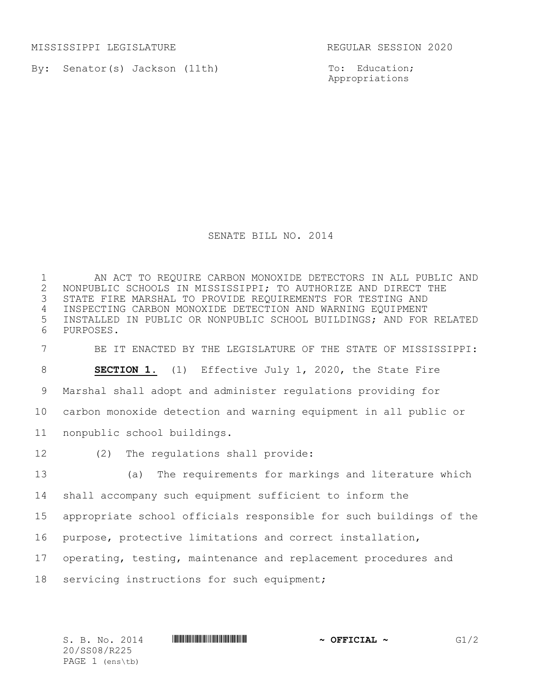MISSISSIPPI LEGISLATURE REGULAR SESSION 2020

By: Senator(s) Jackson (11th)

To: Education; Appropriations

## SENATE BILL NO. 2014

1 AN ACT TO REQUIRE CARBON MONOXIDE DETECTORS IN ALL PUBLIC AND<br>2 NONPUBLIC SCHOOLS IN MISSISSIPPI; TO AUTHORIZE AND DIRECT THE 2 NONPUBLIC SCHOOLS IN MISSISSIPPI; TO AUTHORIZE AND DIRECT THE<br>3 STATE FIRE MARSHAL TO PROVIDE REQUIREMENTS FOR TESTING AND STATE FIRE MARSHAL TO PROVIDE REQUIREMENTS FOR TESTING AND INSPECTING CARBON MONOXIDE DETECTION AND WARNING EQUIPMENT INSTALLED IN PUBLIC OR NONPUBLIC SCHOOL BUILDINGS; AND FOR RELATED PURPOSES.

 BE IT ENACTED BY THE LEGISLATURE OF THE STATE OF MISSISSIPPI: **SECTION 1.** (1) Effective July 1, 2020, the State Fire Marshal shall adopt and administer regulations providing for carbon monoxide detection and warning equipment in all public or nonpublic school buildings.

12 (2) The regulations shall provide:

| 13 | (a) The requirements for markings and literature which                |
|----|-----------------------------------------------------------------------|
| 14 | shall accompany such equipment sufficient to inform the               |
|    | 15 appropriate school officials responsible for such buildings of the |
|    | 16 purpose, protective limitations and correct installation,          |
| 17 | operating, testing, maintenance and replacement procedures and        |
| 18 | servicing instructions for such equipment;                            |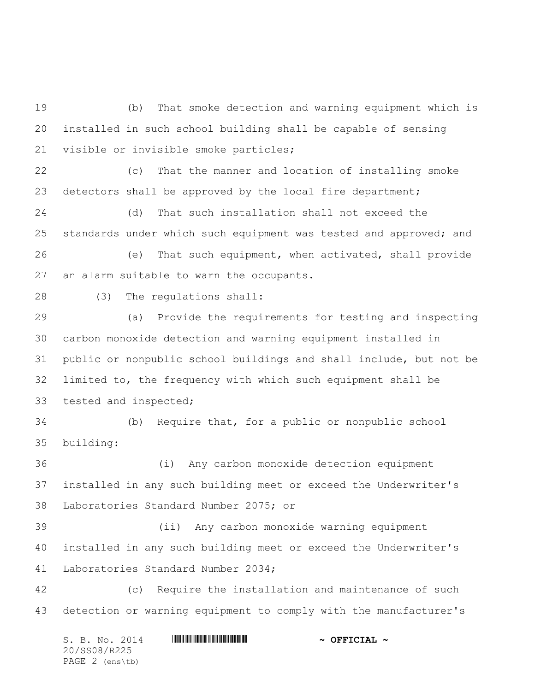(b) That smoke detection and warning equipment which is installed in such school building shall be capable of sensing visible or invisible smoke particles;

 (c) That the manner and location of installing smoke 23 detectors shall be approved by the local fire department;

 (d) That such installation shall not exceed the standards under which such equipment was tested and approved; and

 (e) That such equipment, when activated, shall provide an alarm suitable to warn the occupants.

(3) The regulations shall:

 (a) Provide the requirements for testing and inspecting carbon monoxide detection and warning equipment installed in public or nonpublic school buildings and shall include, but not be limited to, the frequency with which such equipment shall be tested and inspected;

 (b) Require that, for a public or nonpublic school building:

 (i) Any carbon monoxide detection equipment installed in any such building meet or exceed the Underwriter's Laboratories Standard Number 2075; or

 (ii) Any carbon monoxide warning equipment installed in any such building meet or exceed the Underwriter's Laboratories Standard Number 2034;

 (c) Require the installation and maintenance of such detection or warning equipment to comply with the manufacturer's

S. B. No. 2014 \*SS08/R225\* **~ OFFICIAL ~** 20/SS08/R225 PAGE 2 (ens\tb)